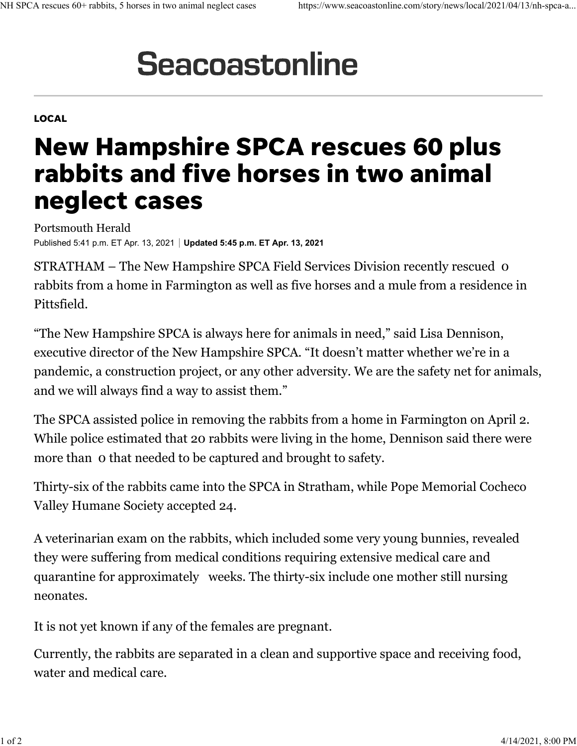## **Seacoastonline**

## LOCAL

## New Hampshire SPCA rescues 60 plus rabbits and five horses in two animal neglect cases

Portsmouth Herald Published 5:41 p.m. ET Apr. 13, 2021 **Updated 5:45 p.m. ET Apr. 13, 2021**

STRATHAM – The New Hampshire SPCA Field Services Division recently rescued 0 rabbits from a home in Farmington as well as five horses and a mule from a residence in Pittsfield.

"The New Hampshire SPCA is always here for animals in need," said Lisa Dennison, executive director of the New Hampshire SPCA. "It doesn't matter whether we're in a pandemic, a construction project, or any other adversity. We are the safety net for animals, and we will always find a way to assist them."

The SPCA assisted police in removing the rabbits from a home in Farmington on April 2. While police estimated that 20 rabbits were living in the home, Dennison said there were more than 0 that needed to be captured and brought to safety.

Thirty-six of the rabbits came into the SPCA in Stratham, while Pope Memorial Cocheco Valley Humane Society accepted 24.

A veterinarian exam on the rabbits, which included some very young bunnies, revealed they were suffering from medical conditions requiring extensive medical care and quarantine for approximately weeks. The thirty-six include one mother still nursing neonates.

It is not yet known if any of the females are pregnant.

Currently, the rabbits are separated in a clean and supportive space and receiving food, water and medical care.